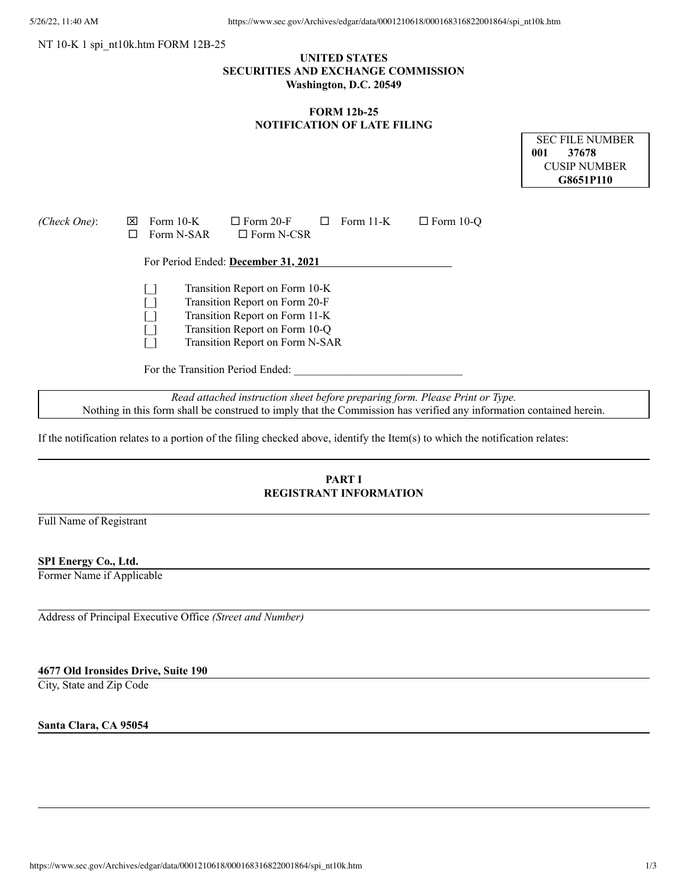### NT 10-K 1 spi\_nt10k.htm FORM 12B-25

# **UNITED STATES SECURITIES AND EXCHANGE COMMISSION Washington, D.C. 20549**

## **FORM 12b-25 NOTIFICATION OF LATE FILING**

|              | SEC FILE NUMBER |  |  |  |
|--------------|-----------------|--|--|--|
| 001          | -37678          |  |  |  |
| CUSIP NUMBER |                 |  |  |  |
| G8651P110    |                 |  |  |  |

| (Check One): | Form $10-K$<br>I×I<br>Form N-SAR | $\Box$ Form 20-F<br>Form $11-K$<br>$\Box$ Form N-CSR                                                                                                                    | $\Box$ Form 10-O |
|--------------|----------------------------------|-------------------------------------------------------------------------------------------------------------------------------------------------------------------------|------------------|
|              |                                  | For Period Ended: December 31, 2021                                                                                                                                     |                  |
|              | For the Transition Period Ended: | Transition Report on Form 10-K<br>Transition Report on Form 20-F<br>Transition Report on Form 11-K<br>Transition Report on Form 10-Q<br>Transition Report on Form N-SAR |                  |

*Read attached instruction sheet before preparing form. Please Print or Type.* Nothing in this form shall be construed to imply that the Commission has verified any information contained herein.

If the notification relates to a portion of the filing checked above, identify the Item(s) to which the notification relates:

# **PART I REGISTRANT INFORMATION**

Full Name of Registrant

### **SPI Energy Co., Ltd.**

Former Name if Applicable

Address of Principal Executive Office *(Street and Number)*

## **4677 Old Ironsides Drive, Suite 190**

City, State and Zip Code

**Santa Clara, CA 95054**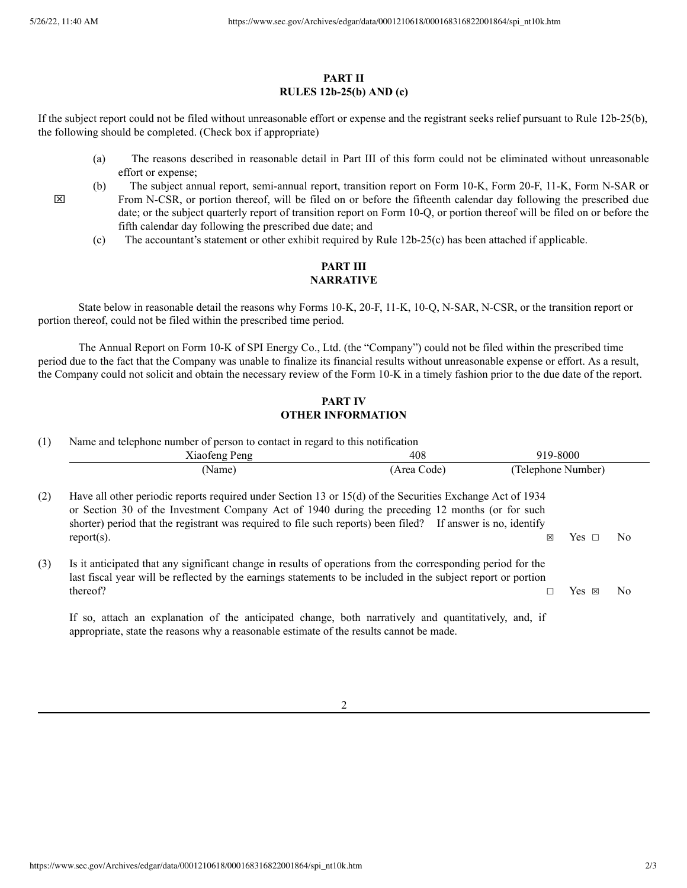$\boxtimes$ 

## **PART II RULES 12b-25(b) AND (c)**

If the subject report could not be filed without unreasonable effort or expense and the registrant seeks relief pursuant to Rule 12b-25(b), the following should be completed. (Check box if appropriate)

- (a) The reasons described in reasonable detail in Part III of this form could not be eliminated without unreasonable effort or expense;
- (b) The subject annual report, semi-annual report, transition report on Form 10-K, Form 20-F, 11-K, Form N-SAR or From N-CSR, or portion thereof, will be filed on or before the fifteenth calendar day following the prescribed due date; or the subject quarterly report of transition report on Form 10-Q, or portion thereof will be filed on or before the fifth calendar day following the prescribed due date; and
	- (c) The accountant's statement or other exhibit required by Rule 12b-25(c) has been attached if applicable.

# **PART III NARRATIVE**

State below in reasonable detail the reasons why Forms 10-K, 20-F, 11-K, 10-Q, N-SAR, N-CSR, or the transition report or portion thereof, could not be filed within the prescribed time period.

The Annual Report on Form 10-K of SPI Energy Co., Ltd. (the "Company") could not be filed within the prescribed time period due to the fact that the Company was unable to finalize its financial results without unreasonable expense or effort. As a result, the Company could not solicit and obtain the necessary review of the Form 10-K in a timely fashion prior to the due date of the report.

## **PART IV OTHER INFORMATION**

| (1) | Name and telephone number of person to contact in regard to this notification                                                                                                                                                                                                                                                                 |             |                    |     |  |  |  |
|-----|-----------------------------------------------------------------------------------------------------------------------------------------------------------------------------------------------------------------------------------------------------------------------------------------------------------------------------------------------|-------------|--------------------|-----|--|--|--|
|     | Xiaofeng Peng                                                                                                                                                                                                                                                                                                                                 | 408         | 919-8000           |     |  |  |  |
|     | (Name)                                                                                                                                                                                                                                                                                                                                        | (Area Code) | (Telephone Number) |     |  |  |  |
| (2) | Have all other periodic reports required under Section 13 or 15(d) of the Securities Exchange Act of 1934<br>or Section 30 of the Investment Company Act of 1940 during the preceding 12 months (or for such<br>shorter) period that the registrant was required to file such reports) been filed? If answer is no, identify<br>$report(s)$ . |             | Yes.<br>×          | No. |  |  |  |
| (3) | Is it anticipated that any significant change in results of operations from the corresponding period for the<br>last fiscal year will be reflected by the earnings statements to be included in the subject report or portion<br>thereof?<br>$Yes \times$<br>No.<br>$\Box$                                                                    |             |                    |     |  |  |  |
|     | If so, attach an explanation of the anticipated change, both narratively and quantitatively, and, if                                                                                                                                                                                                                                          |             |                    |     |  |  |  |

appropriate, state the reasons why a reasonable estimate of the results cannot be made.

2